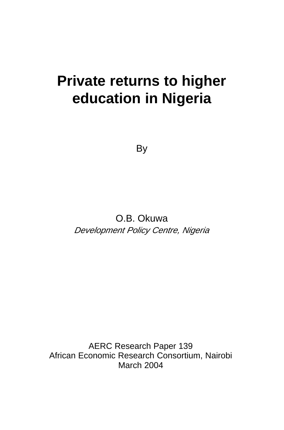# **Private returns to higher education in Nigeria**

By

O.B. Okuwa Development Policy Centre, Nigeria

AERC Research Paper 139 African Economic Research Consortium, Nairobi March 2004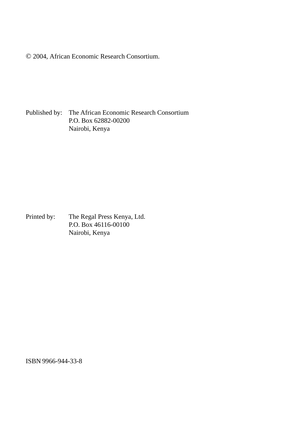© 2004, African Economic Research Consortium.

Published by: The African Economic Research Consortium P.O. Box 62882-00200 Nairobi, Kenya

Printed by: The Regal Press Kenya, Ltd. P.O. Box 46116-00100 Nairobi, Kenya

ISBN 9966-944-33-8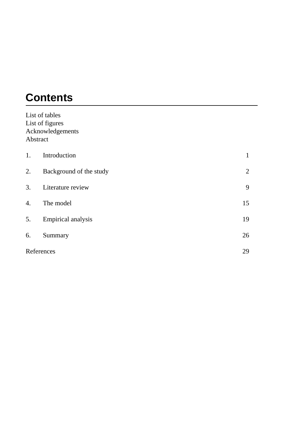# **Contents**

|          | List of tables          |    |
|----------|-------------------------|----|
|          | List of figures         |    |
|          | Acknowledgements        |    |
| Abstract |                         |    |
| 1.       | Introduction            | 1  |
| 2.       | Background of the study | 2  |
| 3.       | Literature review       | 9  |
| 4.       | The model               | 15 |
| 5.       | Empirical analysis      | 19 |
| 6.       | Summary                 | 26 |
|          | References              | 29 |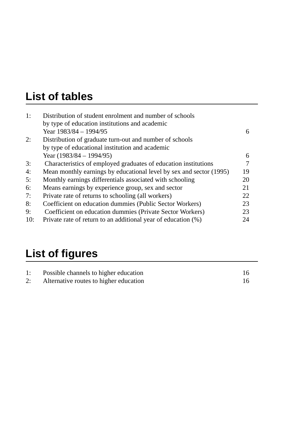# **List of tables**

| 1:  | Distribution of student enrolment and number of schools             |    |
|-----|---------------------------------------------------------------------|----|
|     | by type of education institutions and academic                      |    |
|     | Year 1983/84 - 1994/95                                              | 6  |
| 2:  | Distribution of graduate turn-out and number of schools             |    |
|     | by type of educational institution and academic                     |    |
|     | Year $(1983/84 - 1994/95)$                                          | 6  |
| 3:  | Characteristics of employed graduates of education institutions     | 7  |
| 4:  | Mean monthly earnings by educational level by sex and sector (1995) | 19 |
| 5:  | Monthly earnings differentials associated with schooling            | 20 |
| 6:  | Means earnings by experience group, sex and sector                  | 21 |
| 7:  | Private rate of returns to schooling (all workers)                  | 22 |
| 8:  | Coefficient on education dummies (Public Sector Workers)            | 23 |
| 9:  | Coefficient on education dummies (Private Sector Workers)           | 23 |
| 10: | Private rate of return to an additional year of education (%)       | 24 |

# **List of figures**

| 1: | Possible channels to higher education  |  |
|----|----------------------------------------|--|
| 2: | Alternative routes to higher education |  |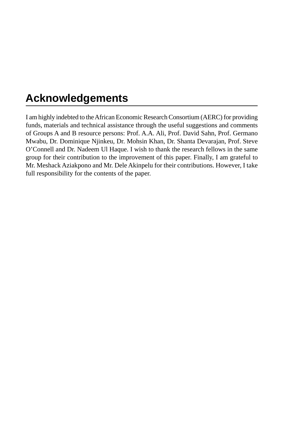# **Acknowledgements**

I am highly indebted to the African Economic Research Consortium (AERC) for providing funds, materials and technical assistance through the useful suggestions and comments of Groups A and B resource persons: Prof. A.A. Ali, Prof. David Sahn, Prof. Germano Mwabu, Dr. Dominique Njinkeu, Dr. Mohsin Khan, Dr. Shanta Devarajan, Prof. Steve O'Connell and Dr. Nadeem Ul Haque. I wish to thank the research fellows in the same group for their contribution to the improvement of this paper. Finally, I am grateful to Mr. Meshack Aziakpono and Mr. Dele Akinpelu for their contributions. However, I take full responsibility for the contents of the paper.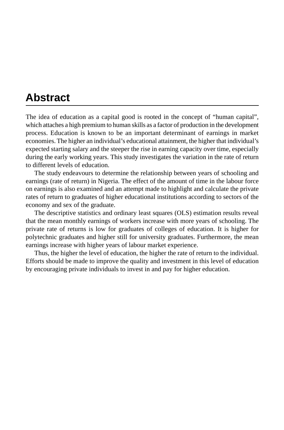## **Abstract**

The idea of education as a capital good is rooted in the concept of "human capital", which attaches a high premium to human skills as a factor of production in the development process. Education is known to be an important determinant of earnings in market economies. The higher an individual's educational attainment, the higher that individual's expected starting salary and the steeper the rise in earning capacity over time, especially during the early working years. This study investigates the variation in the rate of return to different levels of education.

The study endeavours to determine the relationship between years of schooling and earnings (rate of return) in Nigeria. The effect of the amount of time in the labour force on earnings is also examined and an attempt made to highlight and calculate the private rates of return to graduates of higher educational institutions according to sectors of the economy and sex of the graduate.

The descriptive statistics and ordinary least squares (OLS) estimation results reveal that the mean monthly earnings of workers increase with more years of schooling. The private rate of returns is low for graduates of colleges of education. It is higher for polytechnic graduates and higher still for university graduates. Furthermore, the mean earnings increase with higher years of labour market experience.

Thus, the higher the level of education, the higher the rate of return to the individual. Efforts should be made to improve the quality and investment in this level of education by encouraging private individuals to invest in and pay for higher education.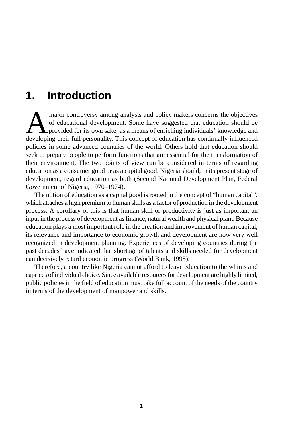## **1. Introduction**

major controversy among analysts and policy makers concerns the objectives<br>of educational development. Some have suggested that education should be<br>provided for its own sake, as a means of enriching individuals' knowledge of educational development. Some have suggested that education should be provided for its own sake, as a means of enriching individuals' knowledge and developing their full personality. This concept of education has continually influenced policies in some advanced countries of the world. Others hold that education should seek to prepare people to perform functions that are essential for the transformation of their environment. The two points of view can be considered in terms of regarding education as a consumer good or as a capital good. Nigeria should, in its present stage of development, regard education as both (Second National Development Plan, Federal Government of Nigeria, 1970–1974).

The notion of education as a capital good is rooted in the concept of "human capital", which attaches a high premium to human skills as a factor of production in the development process. A corollary of this is that human skill or productivity is just as important an input in the process of development as finance, natural wealth and physical plant. Because education plays a most important role in the creation and improvement of human capital, its relevance and importance to economic growth and development are now very well recognized in development planning. Experiences of developing countries during the past decades have indicated that shortage of talents and skills needed for development can decisively retard economic progress (World Bank, 1995).

Therefore, a country like Nigeria cannot afford to leave education to the whims and caprices of individual choice. Since available resources for development are highly limited, public policies in the field of education must take full account of the needs of the country in terms of the development of manpower and skills.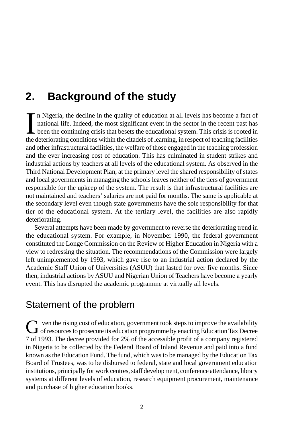## **2. Background of the study**

In Nigeria, the decline in the quality of education at all levels has become a fact of national life. Indeed, the most significant event in the sector in the recent past has been the continuing crisis that besets the educa n Nigeria, the decline in the quality of education at all levels has become a fact of national life. Indeed, the most significant event in the sector in the recent past has been the continuing crisis that besets the educational system. This crisis is rooted in and other infrastructural facilities, the welfare of those engaged in the teaching profession and the ever increasing cost of education. This has culminated in student strikes and industrial actions by teachers at all levels of the educational system. As observed in the Third National Development Plan, at the primary level the shared responsibility of states and local governments in managing the schools leaves neither of the tiers of government responsible for the upkeep of the system. The result is that infrastructural facilities are not maintained and teachers' salaries are not paid for months. The same is applicable at the secondary level even though state governments have the sole responsibility for that tier of the educational system. At the tertiary level, the facilities are also rapidly deteriorating.

Several attempts have been made by government to reverse the deteriorating trend in the educational system. For example, in November 1990, the federal government constituted the Longe Commission on the Review of Higher Education in Nigeria with a view to redressing the situation. The recommendations of the Commission were largely left unimplemented by 1993, which gave rise to an industrial action declared by the Academic Staff Union of Universities (ASUU) that lasted for over five months. Since then, industrial actions by ASUU and Nigerian Union of Teachers have become a yearly event. This has disrupted the academic programme at virtually all levels.

### Statement of the problem

Given the rising cost of education, government took steps to improve the availability<br>of resources to prosecute its education programme by enacting Education Tax Decree 7 of 1993. The decree provided for 2% of the accessible profit of a company registered in Nigeria to be collected by the Federal Board of Inland Revenue and paid into a fund known as the Education Fund. The fund, which was to be managed by the Education Tax Board of Trustees, was to be disbursed to federal, state and local government education institutions, principally for work centres, staff development, conference attendance, library systems at different levels of education, research equipment procurement, maintenance and purchase of higher education books.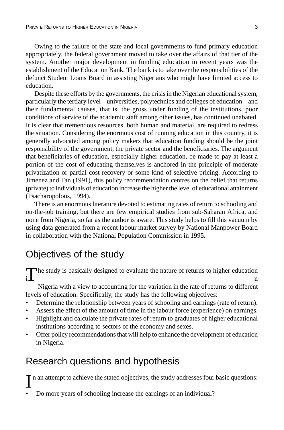Owing to the failure of the state and local governments to fund primary education appropriately, the federal government moved to take over the affairs of that tier of the system. Another major development in funding education in recent years was the establishment of the Education Bank. The bank is to take over the responsibilities of the defunct Student Loans Board in assisting Nigerians who might have limited access to education.

Despite these efforts by the governments, the crisis in the Nigerian educational system, particularly the tertiary level – universities, polytechnics and colleges of education – and their fundamental causes, that is, the gross under funding of the institutions, poor conditions of service of the academic staff among other issues, has continued unabated. It is clear that tremendous resources, both human and material, are required to redress the situation. Considering the enormous cost of running education in this country, it is generally advocated among policy makers that education funding should be the joint responsibility of the government, the private sector and the beneficiaries. The argument that beneficiaries of education, especially higher education, be made to pay at least a portion of the cost of educating themselves is anchored in the principle of moderate privatization or partial cost recovery or some kind of selective pricing. According to Jimenez and Tan (1991), this policy recommendation centres on the belief that returns (private) to individuals of education increase the higher the level of educational attainment (Psacharopolous, 1994).

There is an enormous literature devoted to estimating rates of return to schooling and on-the-job training, but there are few empirical studies from sub-Saharan Africa, and none from Nigeria, so far as the author is aware. This study helps to fill this vacuum by using data generated from a recent labour market survey by National Manpower Board in collaboration with the National Population Commission in 1995.

### Objectives of the study

The study is basically designed to evaluate the nature of returns to higher education  $\frac{1}{n}$ 

Nigeria with a view to accounting for the variation in the rate of returns to different levels of education. Specifically, the study has the following objectives:

- Determine the relationship between years of schooling and earnings (rate of return).
- Assess the effect of the amount of time in the labour force (experience) on earnings.
- Highlight and calculate the private rates of return to graduates of higher educational institutions according to sectors of the economy and sexes.
- Offer policy recommendations that will help to enhance the development of education in Nigeria.

### Research questions and hypothesis

In an attempt to achieve the stated objectives, the study addresses four basic questions:

• Do more years of schooling increase the earnings of an individual?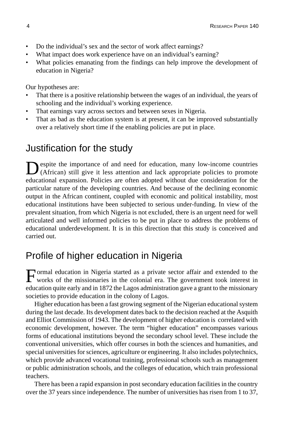- Do the individual's sex and the sector of work affect earnings?
- What impact does work experience have on an individual's earning?
- What policies emanating from the findings can help improve the development of education in Nigeria?

Our hypotheses are:

- That there is a positive relationship between the wages of an individual, the years of schooling and the individual's working experience.
- That earnings vary across sectors and between sexes in Nigeria.
- That as bad as the education system is at present, it can be improved substantially over a relatively short time if the enabling policies are put in place.

### Justification for the study

spite the importance of and need for education, many low-income countries (African) still give it less attention and lack appropriate policies to promote educational expansion. Policies are often adopted without due consideration for the particular nature of the developing countries. And because of the declining economic output in the African continent, coupled with economic and political instability, most educational institutions have been subjected to serious under-funding. In view of the prevalent situation, from which Nigeria is not excluded, there is an urgent need for well articulated and well informed policies to be put in place to address the problems of educational underdevelopment. It is in this direction that this study is conceived and carried out.

### Profile of higher education in Nigeria

Formal education in Nigeria started as a private sector affair and extended to the works of the missionaries in the colonial era. The government took interest in education quite early and in 1872 the Lagos administration gave a grant to the missionary societies to provide education in the colony of Lagos.

Higher education has been a fast growing segment of the Nigerian educational system during the last decade. Its development dates back to the decision reached at the Asquith and Elliot Commission of 1943. The development of higher education is correlated with economic development, however. The term "higher education" encompasses various forms of educational institutions beyond the secondary school level. These include the conventional universities, which offer courses in both the sciences and humanities, and special universities for sciences, agriculture or engineering. It also includes polytechnics, which provide advanced vocational training, professional schools such as management or public administration schools, and the colleges of education, which train professional teachers.

There has been a rapid expansion in post secondary education facilities in the country over the 37 years since independence. The number of universities has risen from 1 to 37,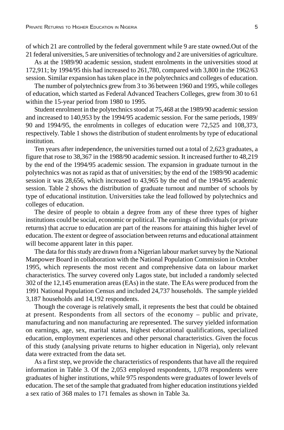of which 21 are controlled by the federal government while 9 are state owned.Out of the 21 federal universities, 5 are universities of technology and 2 are universities of agriculture.

As at the 1989/90 academic session, student enrolments in the universities stood at 172,911; by 1994/95 this had increased to 261,780, compared with 3,800 in the 1962/63 session. Similar expansion has taken place in the polytechnics and colleges of education.

The number of polytechnics grew from 3 to 36 between 1960 and 1995, while colleges of education, which started as Federal Advanced Teachers Colleges, grew from 30 to 61 within the 15-year period from 1980 to 1995.

Student enrolment in the polytechnics stood at 75,468 at the 1989/90 academic session and increased to 140,953 by the 1994/95 academic session. For the same periods, 1989/ 90 and 1994/95, the enrolments in colleges of education were 72,525 and 108,373, respectively. Table 1 shows the distribution of student enrolments by type of educational institution.

Ten years after independence, the universities turned out a total of 2,623 graduates, a figure that rose to 38,367 in the 1988/90 academic session. It increased further to 48,219 by the end of the 1994/95 academic session. The expansion in graduate turnout in the polytechnics was not as rapid as that of universities; by the end of the 1989/90 academic session it was 28,656, which increased to 43,965 by the end of the 1994/95 academic session. Table 2 shows the distribution of graduate turnout and number of schools by type of educational institution. Universities take the lead followed by polytechnics and colleges of education.

The desire of people to obtain a degree from any of these three types of higher institutions could be social, economic or political. The earnings of individuals (or private returns) that accrue to education are part of the reasons for attaining this higher level of education. The extent or degree of association between returns and educational attainment will become apparent later in this paper.

The data for this study are drawn from a Nigerian labour market survey by the National Manpower Board in collaboration with the National Population Commission in October 1995, which represents the most recent and comprehensive data on labour market characteristics. The survey covered only Lagos state, but included a randomly selected 302 of the 12,145 enumeration areas (EAs) in the state. The EAs were produced from the 1991 National Population Census and included 24,737 households. The sample yielded 3,187 households and 14,192 respondents.

Though the coverage is relatively small, it represents the best that could be obtained at present. Respondents from all sectors of the economy – public and private, manufacturing and non manufacturing are represented. The survey yielded information on earnings, age, sex, marital status, highest educational qualifications, specialized education, employment experiences and other personal characteristics. Given the focus of this study (analysing private returns to higher education in Nigeria), only relevant data were extracted from the data set.

As a first step, we provide the characteristics of respondents that have all the required information in Table 3. Of the 2,053 employed respondents, 1,078 respondents were graduates of higher institutions, while 975 respondents were graduates of lower levels of education. The set of the sample that graduated from higher education institutions yielded a sex ratio of 368 males to 171 females as shown in Table 3a.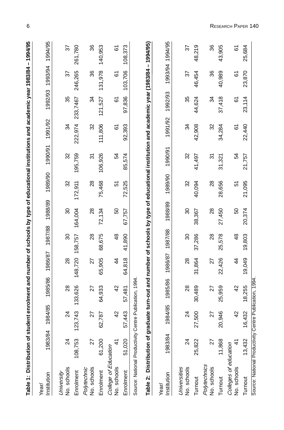| Table 1: Distribution of student enrolment and number of schools by type of educational institutions and academic year 1983/84 – 1994/95                                            |         |             |                   |               |               |               |         |             |         |          |         |          |
|-------------------------------------------------------------------------------------------------------------------------------------------------------------------------------------|---------|-------------|-------------------|---------------|---------------|---------------|---------|-------------|---------|----------|---------|----------|
| Institution<br>Year/                                                                                                                                                                | 1983/84 | 85<br>1984, | 1985/86           | 1986/87       | 1987/88       | 1988/89       | 1989/90 | 1990/91     | 1991/92 | 1992/93  | 1993/94 | 1994/95  |
| No. schools<br>University                                                                                                                                                           | 24      | Z           | $^{28}$           | $^{28}$       | 8             | 80            | 32      | 32          | 34      | 35       | 57      | 57       |
| Enrolment                                                                                                                                                                           | 108,753 | 123,743     | 133,626           | 148.720       | 158,757       | 164.004       | 172,911 | 195.759     | 222,974 | 233.7467 | 246,265 | 261,780  |
| No. schools<br>Polytechnic                                                                                                                                                          | 27      | 27          | 27                | 27            | $_{\rm 28}$   | $^{28}$       | $^{28}$ | 57          | 32      | 34       | 36      | 36       |
| Enrolment                                                                                                                                                                           | 61,200  | 62,787      | 64,933            | 65,905        | 68,675        | 72,134        | 75,468  | 106,926     | 111,806 | 121,527  | 131,978 | 140,953  |
| College of Education<br>No. schools                                                                                                                                                 |         | 4           | 42                | $\frac{4}{4}$ | $\frac{8}{3}$ | 50            | 5       | 54          | 67      | 6        | 61      | 61       |
| Enrolment                                                                                                                                                                           | 51,020  | 57,443      | 57,481            | 64,818        | 41,890        | 67,757        | 72,525  | .574<br>85, | 92,393  | 97,836   | 103,706 | 08,373   |
| Table 2: Distribution of graduate turn-out and number of schools by type of educational institution and academic year (1983/84 - 1994/95)<br>Source: National Productivity Centre P |         |             | ublication, 1994. |               |               |               |         |             |         |          |         |          |
| Institution<br>Year/                                                                                                                                                                | 1983/84 | 185<br>1984 | 1985/86           | 1986/87       | 1987/88       | 1988/89       | 1989/90 | 990/91      | 1991/92 | 1992/93  | 1993/94 | 1994/95  |
| Universities<br>No. schools                                                                                                                                                         | 24      | Z           | $^{28}$           | $\frac{8}{2}$ | 30            | 30            | 32      | 32          | 34      | 35       | 22      | 57       |
| Turnout                                                                                                                                                                             | 25,822  | 27,500      | 30,489            | 31,864        | 37,286        | 38,367        | 40,094  | 41,497      | 42,908  | 44,624   | 46,454  | 48,219   |
| Polytechnics<br>No. schools                                                                                                                                                         | 27      | 22          | 27                | 27            | 28            | $\frac{8}{2}$ | 28      | <u>ম</u>    | 32      | 34       | 36      | 36       |
| Turnout                                                                                                                                                                             | 11,868  | 20,946      | 25,959            | 22,426        | 25,578        | 27,450        | 28,656  | 31,321      | 34,284  | 37,418   | 40,989  | 43,905   |
| Colleges of education<br>No. schools                                                                                                                                                | 41      | 4           | 42                | 4             | $\frac{8}{4}$ | 50            | 51      | 54          | 6       | 6        | 61      | <u>৯</u> |
| Turnout                                                                                                                                                                             | 13,432  | 16,432      | 18,255            | 19,049        | 19,803        | 20,374        | 21,095  | 21,757      | 22,440  | 23,114   | 23,870  | 25,684   |

6

Source: National Productivity Centre Publication, 1994. Source: National Productivity Centre Publication, 1994.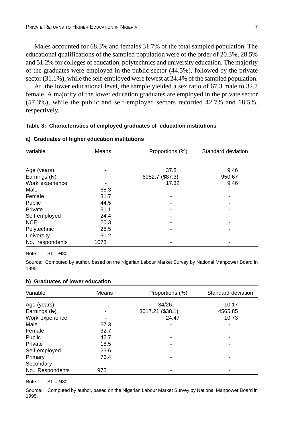Males accounted for 68.3% and females 31.7% of the total sampled population. The educational qualifications of the sampled population were of the order of 20.3%, 28.5% and 51.2% for colleges of education, polytechnics and university education. The majority of the graduates were employed in the public sector (44.5%), followed by the private sector (31.1%), while the self-employed were fewest at 24.4% of the sampled population.

At the lower educational level, the sample yielded a sex ratio of 67.3 male to 32.7 female. A majority of the lower education graduates are employed in the private sector (57.3%), while the public and self-employed sectors recorded 42.7% and 18.5%, respectively.

| a) Graduates of higher education institutions |       |                 |                    |
|-----------------------------------------------|-------|-----------------|--------------------|
| Variable                                      | Means | Proportions (%) | Standard deviation |
| Age (years)                                   |       | 37.8            | 9.46               |
| Earnings (N)                                  |       | 6982.7 (\$87.3) | 950.67             |
| Work experience                               |       | 17.32           | 9.46               |
| Male                                          | 68.3  |                 | ۰                  |
| Female                                        | 31.7  |                 |                    |
| Public                                        | 44.5  |                 |                    |
| Private                                       | 31.1  |                 |                    |
| Self-employed                                 | 24.4  |                 |                    |
| <b>NCE</b>                                    | 20.3  |                 | -                  |
| Polytechnic                                   | 28.5  |                 |                    |
| University                                    | 51.2  |                 |                    |
| No. respondents                               | 1078  |                 |                    |

#### **Table 3: Characteristics of employed graduates of education institutions**

Note:  $$1 = N80$ 

Source: Computed by author, based on the Nigerian Labour Market Survey by National Manpower Board in 1995.

#### **b) Graduates of lower education**

| Variable        | Means | Proportions (%)  | Standard deviation |
|-----------------|-------|------------------|--------------------|
| Age (years)     |       | 34/26            | 10.17              |
| Earnings $(H)$  |       | 3017.21 (\$38.1) | 4565.85            |
| Work experience |       | 24.47            | 10.73              |
| Male            | 67.3  |                  |                    |
| Female          | 32.7  |                  |                    |
| Public          | 42.7  |                  |                    |
| Private         | 18.5  |                  |                    |
| Self-employed   | 23.6  |                  |                    |
| Primary         | 76.4  |                  |                    |
| Secondary       |       |                  |                    |
| No. Respondents | 975   |                  |                    |

Note:  $$1 = N80$ 

Source: Computed by author, based on the Nigerian Labour Market Survey by National Manpower Board in 1995.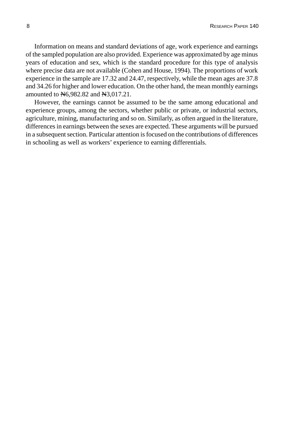Information on means and standard deviations of age, work experience and earnings of the sampled population are also provided. Experience was approximated by age minus years of education and sex, which is the standard procedure for this type of analysis where precise data are not available (Cohen and House, 1994). The proportions of work experience in the sample are 17.32 and 24.47, respectively, while the mean ages are 37.8 and 34.26 for higher and lower education. On the other hand, the mean monthly earnings amounted to N6,982.82 and N3,017.21.

However, the earnings cannot be assumed to be the same among educational and experience groups, among the sectors, whether public or private, or industrial sectors, agriculture, mining, manufacturing and so on. Similarly, as often argued in the literature, differences in earnings between the sexes are expected. These arguments will be pursued in a subsequent section. Particular attention is focused on the contributions of differences in schooling as well as workers' experience to earning differentials.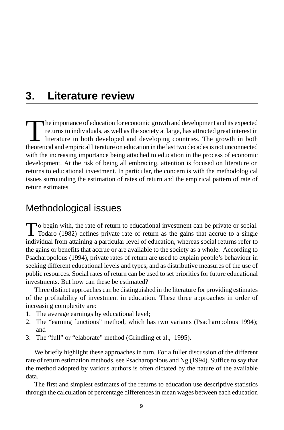## **3. Literature review**

The importance of education for economic growth and development and its expected<br>returns to individuals, as well as the society at large, has attracted great interest in<br>literature in both developed and developing countrie returns to individuals, as well as the society at large, has attracted great interest in literature in both developed and developing countries. The growth in both theoretical and empirical literature on education in the last two decades is not unconnected with the increasing importance being attached to education in the process of economic development. At the risk of being all embracing, attention is focused on literature on returns to educational investment. In particular, the concern is with the methodological issues surrounding the estimation of rates of return and the empirical pattern of rate of return estimates.

### Methodological issues

To begin with, the rate of return to educational investment can be private or social.<br>Todaro (1982) defines private rate of return as the gains that accrue to a single individual from attaining a particular level of education, whereas social returns refer to the gains or benefits that accrue or are available to the society as a whole. According to Psacharopolous (1994), private rates of return are used to explain people's behaviour in seeking different educational levels and types, and as distributive measures of the use of public resources. Social rates of return can be used to set priorities for future educational investments. But how can these be estimated?

Three distinct approaches can be distinguished in the literature for providing estimates of the profitability of investment in education. These three approaches in order of increasing complexity are:

- 1. The average earnings by educational level;
- 2. The "earning functions" method, which has two variants (Psacharopolous 1994); and
- 3. The "full" or "elaborate" method (Grindling et al., 1995).

We briefly highlight these approaches in turn. For a fuller discussion of the different rate of return estimation methods, see Psacharopolous and Ng (1994). Suffice to say that the method adopted by various authors is often dictated by the nature of the available data.

The first and simplest estimates of the returns to education use descriptive statistics through the calculation of percentage differences in mean wages between each education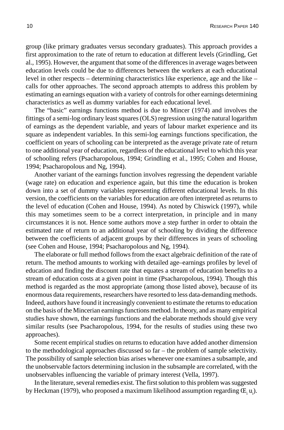group (like primary graduates versus secondary graduates). This approach provides a first approximation to the rate of return to education at different levels (Grindling, Get al., 1995). However, the argument that some of the differences in average wages between education levels could be due to differences between the workers at each educational level in other respects – determining characteristics like experience, age and the like – calls for other approaches. The second approach attempts to address this problem by estimating an earnings equation with a variety of controls for other earnings determining characteristics as well as dummy variables for each educational level.

The "basic" earnings functions method is due to Mincer (1974) and involves the fittings of a semi-log ordinary least squares (OLS) regression using the natural logarithm of earnings as the dependent variable, and years of labour market experience and its square as independent variables. In this semi-log earnings functions specification, the coefficient on years of schooling can be interpreted as the average private rate of return to one additional year of education, regardless of the educational level to which this year of schooling refers (Psacharopolous, 1994; Grindling et al., 1995; Cohen and House, 1994; Psacharopolous and Ng, 1994).

Another variant of the earnings function involves regressing the dependent variable (wage rate) on education and experience again, but this time the education is broken down into a set of dummy variables representing different educational levels. In this version, the coefficients on the variables for education are often interpreted as returns to the level of education (Cohen and House, 1994). As noted by Chiswick (1997), while this may sometimes seem to be a correct interpretation, in principle and in many circumstances it is not. Hence some authors move a step further in order to obtain the estimated rate of return to an additional year of schooling by dividing the difference between the coefficients of adjacent groups by their differences in years of schooling (see Cohen and House, 1994; Psacharopolous and Ng, 1994).

The elaborate or full method follows from the exact algebraic definition of the rate of return. The method amounts to working with detailed age–earnings profiles by level of education and finding the discount rate that equates a stream of education benefits to a stream of education costs at a given point in time (Psacharopolous, 1994). Though this method is regarded as the most appropriate (among those listed above), because of its enormous data requirements, researchers have resorted to less data-demanding methods. Indeed, authors have found it increasingly convenient to estimate the returns to education on the basis of the Mincerian earnings functions method. In theory, and as many empirical studies have shown, the earnings functions and the elaborate methods should give very similar results (see Psacharopolous, 1994, for the results of studies using these two approaches).

Some recent empirical studies on returns to education have added another dimension to the methodological approaches discussed so far – the problem of sample selectivity. The possibility of sample selection bias arises whenever one examines a subsample, and the unobservable factors determining inclusion in the subsample are correlated, with the unobservables influencing the variable of primary interest (Vella, 1997).

In the literature, several remedies exist. The first solution to this problem was suggested by Heckman (1979), who proposed a maximum likelihood assumption regarding  $\mathbf{E_i}$  u<sub>i</sub>).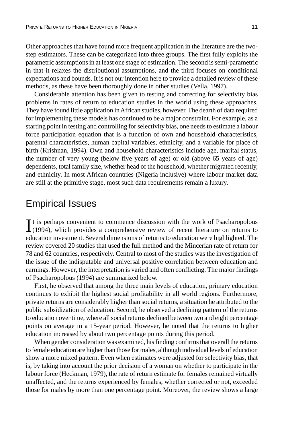Other approaches that have found more frequent application in the literature are the twostep estimators. These can be categorized into three groups. The first fully exploits the parametric assumptions in at least one stage of estimation. The second is semi-parametric in that it relaxes the distributional assumptions, and the third focuses on conditional expectations and bounds. It is not our intention here to provide a detailed review of these methods, as these have been thoroughly done in other studies (Vella, 1997).

Considerable attention has been given to testing and correcting for selectivity bias problems in rates of return to education studies in the world using these approaches. They have found little application in African studies, however. The dearth of data required for implementing these models has continued to be a major constraint. For example, as a starting point in testing and controlling for selectivity bias, one needs to estimate a labour force participation equation that is a function of own and household characteristics, parental characteristics, human capital variables, ethnicity, and a variable for place of birth (Krishnan, 1994). Own and household characteristics include age, marital status, the number of very young (below five years of age) or old (above 65 years of age) dependents, total family size, whether head of the household, whether migrated recently, and ethnicity. In most African countries (Nigeria inclusive) where labour market data are still at the primitive stage, most such data requirements remain a luxury.

#### Empirical Issues

It is perhaps convenient to commence discussion with the work of Psacharopolous (1994), which provides a comprehensive review of recent literature on returns to  $\mathbf{T}$ t is perhaps convenient to commence discussion with the work of Psacharopolous education investment. Several dimensions of returns to education were highlighted. The review covered 20 studies that used the full method and the Mincerian rate of return for 78 and 62 countries, respectively. Central to most of the studies was the investigation of the issue of the indisputable and universal positive correlation between education and earnings. However, the interpretation is varied and often conflicting. The major findings of Psacharopolous (1994) are summarized below.

First, he observed that among the three main levels of education, primary education continues to exhibit the highest social profitability in all world regions. Furthermore, private returns are considerably higher than social returns, a situation he attributed to the public subsidization of education. Second, he observed a declining pattern of the returns to education over time, where all social returns declined between two and eight percentage points on average in a 15-year period. However, he noted that the returns to higher education increased by about two percentage points during this period.

When gender consideration was examined, his finding confirms that overall the returns to female education are higher than those for males, although individual levels of education show a more mixed pattern. Even when estimates were adjusted for selectivity bias, that is, by taking into account the prior decision of a woman on whether to participate in the labour force (Heckman, 1979), the rate of return estimate for females remained virtually unaffected, and the returns experienced by females, whether corrected or not, exceeded those for males by more than one percentage point. Moreover, the review shows a large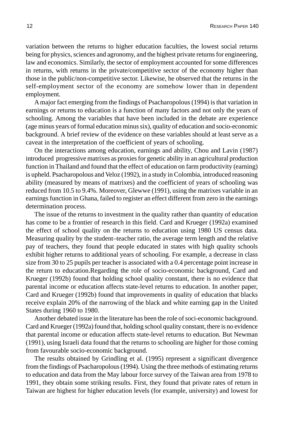variation between the returns to higher education faculties, the lowest social returns being for physics, sciences and agronomy, and the highest private returns for engineering, law and economics. Similarly, the sector of employment accounted for some differences in returns, with returns in the private/competitive sector of the economy higher than those in the public/non-competitive sector. Likewise, he observed that the returns in the self-employment sector of the economy are somehow lower than in dependent employment.

A major fact emerging from the findings of Psacharopolous (1994) is that variation in earnings or returns to education is a function of many factors and not only the years of schooling. Among the variables that have been included in the debate are experience (age minus years of formal education minus six), quality of education and socio-economic background. A brief review of the evidence on these variables should at least serve as a caveat in the interpretation of the coefficient of years of schooling.

On the interactions among education, earnings and ability, Chou and Lavin (1987) introduced progressive matrixes as proxies for genetic ability in an agricultural production function in Thailand and found that the effect of education on farm productivity (earning) is upheld. Psacharopolous and Veloz (1992), in a study in Colombia, introduced reasoning ability (measured by means of matrixes) and the coefficient of years of schooling was reduced from 10.5 to 9.4%. Moreover, Glewwe (1991), using the matrixes variable in an earnings function in Ghana, failed to register an effect different from zero in the earnings determination process.

The issue of the returns to investment in the quality rather than quantity of education has come to be a frontier of research in this field. Card and Krueger (1992a) examined the effect of school quality on the returns to education using 1980 US census data. Measuring quality by the student–teacher ratio, the average term length and the relative pay of teachers, they found that people educated in states with high quality schools exhibit higher returns to additional years of schooling. For example, a decrease in class size from 30 to 25 pupils per teacher is associated with a 0.4 percentage point increase in the return to education.Regarding the role of socio-economic background, Card and Krueger (1992b) found that holding school quality constant, there is no evidence that parental income or education affects state-level returns to education. In another paper, Card and Krueger (1992b) found that improvements in quality of education that blacks receive explain 20% of the narrowing of the black and white earning gap in the United States during 1960 to 1980.

Another debated issue in the literature has been the role of soci-economic background. Card and Krueger (1992a) found that, holding school quality constant, there is no evidence that parental income or education affects state-level returns to education. But Newman (1991), using Israeli data found that the returns to schooling are higher for those coming from favourable socio-economic background.

The results obtained by Grindling et al. (1995) represent a significant divergence from the findings of Psacharopolous (1994). Using the three methods of estimating returns to education and data from the May labour force survey of the Taiwan area from 1978 to 1991, they obtain some striking results. First, they found that private rates of return in Taiwan are highest for higher education levels (for example, university) and lowest for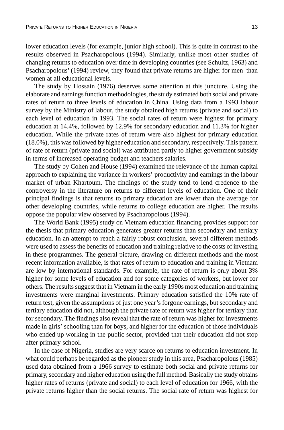lower education levels (for example, junior high school). This is quite in contrast to the results observed in Psacharopolous (1994). Similarly, unlike most other studies of changing returns to education over time in developing countries (see Schultz, 1963) and Psacharopolous' (1994) review, they found that private returns are higher for men than women at all educational levels.

The study by Hossain (1976) deserves some attention at this juncture. Using the elaborate and earnings function methodologies, the study estimated both social and private rates of return to three levels of education in China. Using data from a 1993 labour survey by the Ministry of labour, the study obtained high returns (private and social) to each level of education in 1993. The social rates of return were highest for primary education at 14.4%, followed by 12.9% for secondary education and 11.3% for higher education. While the private rates of return were also highest for primary education (18.0%), this was followed by higher education and secondary, respectively. This pattern of rate of return (private and social) was attributed partly to higher government subsidy in terms of increased operating budget and teachers salaries.

The study by Cohen and House (1994) examined the relevance of the human capital approach to explaining the variance in workers' productivity and earnings in the labour market of urban Khartoum. The findings of the study tend to lend credence to the controversy in the literature on returns to different levels of education. One of their principal findings is that returns to primary education are lower than the average for other developing countries, while returns to college education are higher. The results oppose the popular view observed by Psacharopolous (1994).

The World Bank (1995) study on Vietnam education financing provides support for the thesis that primary education generates greater returns than secondary and tertiary education. In an attempt to reach a fairly robust conclusion, several different methods were used to assess the benefits of education and training relative to the costs of investing in these programmes. The general picture, drawing on different methods and the most recent information available, is that rates of return to education and training in Vietnam are low by international standards. For example, the rate of return is only about 3% higher for some levels of education and for some categories of workers, but lower for others. The results suggest that in Vietnam in the early 1990s most education and training investments were marginal investments. Primary education satisfied the 10% rate of return test, given the assumptions of just one year's forgone earnings, but secondary and tertiary education did not, although the private rate of return was higher for tertiary than for secondary. The findings also reveal that the rate of return was higher for investments made in girls' schooling than for boys, and higher for the education of those individuals who ended up working in the public sector, provided that their education did not stop after primary school.

In the case of Nigeria, studies are very scarce on returns to education investment. In what could perhaps be regarded as the pioneer study in this area, Psacharopolous (1985) used data obtained from a 1966 survey to estimate both social and private returns for primary, secondary and higher education using the full method. Basically the study obtains higher rates of returns (private and social) to each level of education for 1966, with the private returns higher than the social returns. The social rate of return was highest for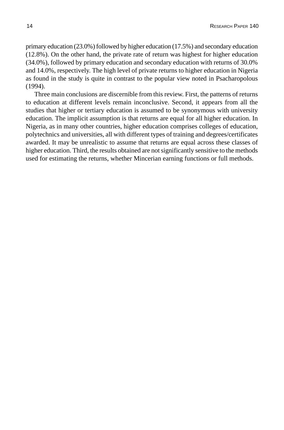primary education (23.0%) followed by higher education (17.5%) and secondary education (12.8%). On the other hand, the private rate of return was highest for higher education (34.0%), followed by primary education and secondary education with returns of 30.0% and 14.0%, respectively. The high level of private returns to higher education in Nigeria as found in the study is quite in contrast to the popular view noted in Psacharopolous (1994).

Three main conclusions are discernible from this review. First, the patterns of returns to education at different levels remain inconclusive. Second, it appears from all the studies that higher or tertiary education is assumed to be synonymous with university education. The implicit assumption is that returns are equal for all higher education. In Nigeria, as in many other countries, higher education comprises colleges of education, polytechnics and universities, all with different types of training and degrees/certificates awarded. It may be unrealistic to assume that returns are equal across these classes of higher education. Third, the results obtained are not significantly sensitive to the methods used for estimating the returns, whether Mincerian earning functions or full methods.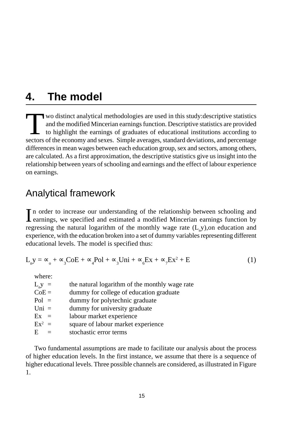## **4. The model**

Two distinct analytical methodologies are used in this study:descriptive statistics and the modified Mincerian earnings function. Descriptive statistics are provided to highlight the earnings of graduates of educational institutions according to sectors of the economy and sexes. Simple averages, standard deviations, and percentage differences in mean wages between each education group, sex and sectors, among others, are calculated. As a first approximation, the descriptive statistics give us insight into the relationship between years of schooling and earnings and the effect of labour experience on earnings.

### Analytical framework

In order to increase our understanding of the relationship between schooling and earnings, we specified and estimated a modified Mincerian earnings function by In order to increase our understanding of the relationship between schooling and regressing the natural logarithm of the monthly wage rate  $(L$ <sub>n</sub>y), on education and experience, with the education broken into a set of dummy variables representing different educational levels. The model is specified thus:

$$
L_{n}y = \infty_{0} + \infty_{3}CoE + \infty_{4}Pol + \infty_{3}Uni + \infty_{6}Ex + \infty_{7}Ex^{2} + E
$$
 (1)

where:

| $L_{n}y =$ | the natural logarithm of the monthly wage rate |
|------------|------------------------------------------------|
| $CoE =$    | dummy for college of education graduate        |
| $Pol =$    | dummy for polytechnic graduate                 |
| $Uni =$    | dummy for university graduate                  |
| $Ex =$     | labour market experience                       |
| $Ex^2 =$   | square of labour market experience             |
| E          | stochastic error terms                         |
|            |                                                |

Two fundamental assumptions are made to facilitate our analysis about the process of higher education levels. In the first instance, we assume that there is a sequence of higher educational levels. Three possible channels are considered, as illustrated in Figure 1.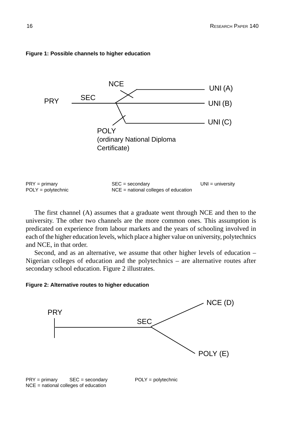

#### **Figure 1: Possible channels to higher education**

The first channel (A) assumes that a graduate went through NCE and then to the university. The other two channels are the more common ones. This assumption is predicated on experience from labour markets and the years of schooling involved in each of the higher education levels, which place a higher value on university, polytechnics and NCE, in that order.

Second, and as an alternative, we assume that other higher levels of education – Nigerian colleges of education and the polytechnics – are alternative routes after secondary school education. Figure 2 illustrates.

#### **Figure 2: Alternative routes to higher education**

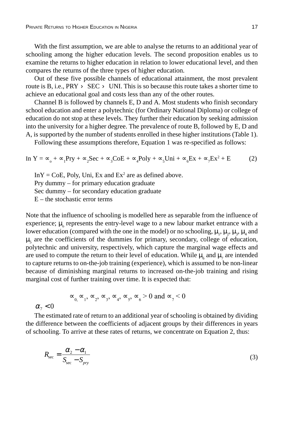With the first assumption, we are able to analyse the returns to an additional year of schooling among the higher education levels. The second proposition enables us to examine the returns to higher education in relation to lower educational level, and then compares the returns of the three types of higher education.

Out of these five possible channels of educational attainment, the most prevalent route is B, i.e.,  $PRY > SEC > UNI$ . This is so because this route takes a shorter time to achieve an educational goal and costs less than any of the other routes.

Channel B is followed by channels E, D and A. Most students who finish secondary school education and enter a polytechnic (for Ordinary National Diploma) or college of education do not stop at these levels. They further their education by seeking admission into the university for a higher degree. The prevalence of route B, followed by E, D and A, is supported by the number of students enrolled in these higher institutions (Table 1).

Following these assumptions therefore, Equation 1 was re-specified as follows:

In 
$$
Y = \infty_{0} + \infty_{1} \text{Pry} + \infty_{2} \text{Sec} + \infty_{3} \text{CoE} + \infty_{4} \text{Poly} + \infty_{5} \text{Uni} + \infty_{6} \text{Ex} + \infty_{7} \text{Ex}^{2} + \text{E}
$$
 (2)

 $InY = CoE$ , Poly, Uni, Ex and  $Ex^2$  are as defined above. Pry dummy – for primary education graduate Sec dummy – for secondary education graduate  $E$  – the stochastic error terms

Note that the influence of schooling is modelled here as separable from the influence of experience;  $\mu_{\text{o}}$  represents the entry-level wage to a new labour market entrance with a lower education (compared with the one in the model) or no schooling,  $\mu_1$ ,  $\mu_2$ ,  $\mu_3$ ,  $\mu_4$  and  $\mu$ <sub>5</sub> are the coefficients of the dummies for primary, secondary, college of education, polytechnic and university, respectively, which capture the marginal wage effects and are used to compute the return to their level of education. While  $\mu_{6}$  and  $\mu_{7}$  are intended to capture returns to on-the-job training (experience), which is assumed to be non-linear because of diminishing marginal returns to increased on-the-job training and rising marginal cost of further training over time. It is expected that:

$$
\infty_0, \infty_1, \infty_2, \infty_3, \infty_4, \infty_5, \infty_6 > 0 \text{ and } \infty_7 < 0
$$

 $\alpha_{7}$  <

The estimated rate of return to an additional year of schooling is obtained by dividing the difference between the coefficients of adjacent groups by their differences in years of schooling. To arrive at these rates of returns, we concentrate on Equation 2, thus:

$$
R_{\rm sec} = \frac{\alpha_2 - \alpha_1}{S_{\rm sec} - S_{\rm pry}}
$$
(3)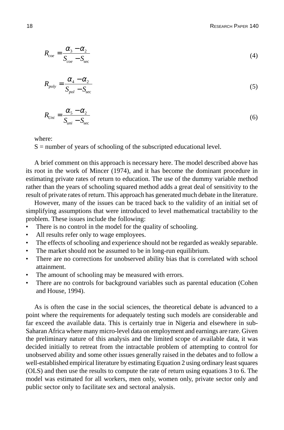$$
R_{\text{coe}} = \frac{\alpha_3 - \alpha_2}{S_{\text{coe}} - S_{\text{sec}}}
$$
\n<sup>(4)</sup>

$$
R_{poly} = \frac{\alpha_4 - \alpha_2}{S_{pol} - S_{\text{sec}}}
$$
\n<sup>(5)</sup>

$$
R_{Uni} = \frac{\alpha_s - \alpha_2}{S_{uni} - S_{\text{sec}}}
$$
\n<sup>(6)</sup>

where:

 $S =$  number of years of schooling of the subscripted educational level.

A brief comment on this approach is necessary here. The model described above has its root in the work of Mincer (1974), and it has become the dominant procedure in estimating private rates of return to education. The use of the dummy variable method rather than the years of schooling squared method adds a great deal of sensitivity to the result of private rates of return. This approach has generated much debate in the literature.

However, many of the issues can be traced back to the validity of an initial set of simplifying assumptions that were introduced to level mathematical tractability to the problem. These issues include the following:

- There is no control in the model for the quality of schooling.
- All results refer only to wage employees.
- The effects of schooling and experience should not be regarded as weakly separable.
- The market should not be assumed to be in long-run equilibrium.
- There are no corrections for unobserved ability bias that is correlated with school attainment.
- The amount of schooling may be measured with errors.
- There are no controls for background variables such as parental education (Cohen and House, 1994).

As is often the case in the social sciences, the theoretical debate is advanced to a point where the requirements for adequately testing such models are considerable and far exceed the available data. This is certainly true in Nigeria and elsewhere in sub-Saharan Africa where many micro-level data on employment and earnings are rare. Given the preliminary nature of this analysis and the limited scope of available data, it was decided initially to retreat from the intractable problem of attempting to control for unobserved ability and some other issues generally raised in the debates and to follow a well-established empirical literature by estimating Equation 2 using ordinary least squares (OLS) and then use the results to compute the rate of return using equations 3 to 6. The model was estimated for all workers, men only, women only, private sector only and public sector only to facilitate sex and sectoral analysis.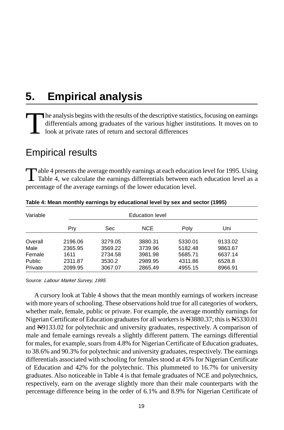## **5. Empirical analysis**

The analysis begins with the results of the descriptive statistics, focusing on earnings differentials among graduates of the various higher institutions. It moves on to look at private rates of return and sectoral differe differentials among graduates of the various higher institutions. It moves on to look at private rates of return and sectoral differences

### Empirical results

Table 4 presents the average monthly earnings at each education level for 1995. Using **T** Table 4, we calculate the earnings differentials between each education level as a percentage of the average earnings of the lower education level.

| Variable      |         |         | Education level |         |         |  |
|---------------|---------|---------|-----------------|---------|---------|--|
|               | Pry     | Sec     | <b>NCE</b>      | Poly    | Uni     |  |
| Overall       | 2196.06 | 3279.05 | 3880.31         | 5330.01 | 9133.02 |  |
| Male          | 2365.95 | 3569.22 | 3739.96         | 5182.48 | 9863.67 |  |
| Female        | 1611    | 2734.58 | 3981.98         | 5685.71 | 6637.14 |  |
| <b>Public</b> | 2311.87 | 3530.2  | 2989.95         | 4311.86 | 6528.8  |  |
| Private       | 2099.95 | 3067.07 | 2865.49         | 4955.15 | 8966.91 |  |

**Table 4: Mean monthly earnings by educational level by sex and sector (1995)**

Source: Labour Market Survey, 1995.

A cursory look at Table 4 shows that the mean monthly earnings of workers increase with more years of schooling. These observations hold true for all categories of workers, whether male, female, public or private. For example, the average monthly earnings for Nigerian Certificate of Education graduates for all workers is N3880.37; this is N5330.01 and N9133.02 for polytechnic and university graduates, respectively. A comparison of male and female earnings reveals a slightly different pattern. The earnings differential for males, for example, soars from 4.8% for Nigerian Certificate of Education graduates, to 38.6% and 90.3% for polytechnic and university graduates, respectively. The earnings differentials associated with schooling for females stood at 45% for Nigerian Certificate of Education and 42% for the polytechnic. This plummeted to 16.7% for university graduates. Also noticeable in Table 4 is that female graduates of NCE and polytechnics, respectively, earn on the average slightly more than their male counterparts with the percentage difference being in the order of 6.1% and 8.9% for Nigerian Certificate of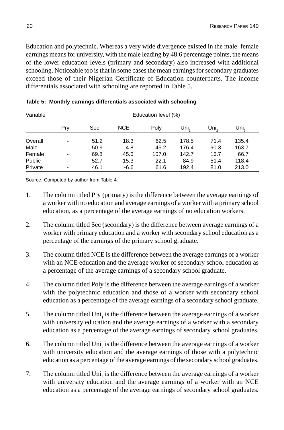Education and polytechnic. Whereas a very wide divergence existed in the male–female earnings means for university, with the male leading by 48.6 percentage points, the means of the lower education levels (primary and secondary) also increased with additional schooling. Noticeable too is that in some cases the mean earnings for secondary graduates exceed those of their Nigerian Certificate of Education counterparts. The income differentials associated with schooling are reported in Table 5.

| Variable |                |      |         | Education level (%) |       |      |       |
|----------|----------------|------|---------|---------------------|-------|------|-------|
|          | Pry            | Sec  | NCE.    | Poly                | Uni,  | Uni. | Uni,  |
| Overall  | ٠              | 51.2 | 18.3    | 62.5                | 178.5 | 71.4 | 135.4 |
| Male     | ۰              | 50.9 | 4.8     | 45.2                | 176.4 | 90.3 | 163.7 |
| Female   | $\blacksquare$ | 69.8 | 45.6    | 107.0               | 142.7 | 16.7 | 66.7  |
| Public   | $\blacksquare$ | 52.7 | $-15.3$ | 22.1                | 84.9  | 51.4 | 118.4 |
| Private  | ۰              | 46.1 | $-6.6$  | 61.6                | 192.4 | 81.0 | 213.0 |

Source: Computed by author from Table 4.

- 1. The column titled Pry (primary) is the difference between the average earnings of a worker with no education and average earnings of a worker with a primary school education, as a percentage of the average earnings of no education workers.
- 2. The column titled Sec (secondary) is the difference between average earnings of a worker with primary education and a worker with secondary school education as a percentage of the earnings of the primary school graduate.
- 3. The column titled NCE is the difference between the average earnings of a worker with an NCE education and the average worker of secondary school education as a percentage of the average earnings of a secondary school graduate.
- 4. The column titled Poly is the difference between the average earnings of a worker with the polytechnic education and those of a worker with secondary school education as a percentage of the average earnings of a secondary school graduate.
- 5. The column titled  $\text{Uni}_1$  is the difference between the average earnings of a worker with university education and the average earnings of a worker with a secondary education as a percentage of the average earnings of secondary school graduates.
- 6. The column titled  $\text{Uni}_2$  is the difference between the average earnings of a worker with university education and the average earnings of those with a polytechnic education as a percentage of the average earnings of the secondary school graduates.
- 7. The column titled  $\text{Uni}_3$  is the difference between the average earnings of a worker with university education and the average earnings of a worker with an NCE education as a percentage of the average earnings of secondary school graduates.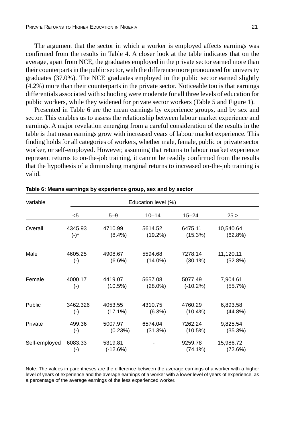The argument that the sector in which a worker is employed affects earnings was confirmed from the results in Table 4. A closer look at the table indicates that on the average, apart from NCE, the graduates employed in the private sector earned more than their counterparts in the public sector, with the difference more pronounced for university graduates (37.0%). The NCE graduates employed in the public sector earned slightly (4.2%) more than their counterparts in the private sector. Noticeable too is that earnings differentials associated with schooling were moderate for all three levels of education for public workers, while they widened for private sector workers (Table 5 and Figure 1).

Presented in Table 6 are the mean earnings by experience groups, and by sex and sector. This enables us to assess the relationship between labour market experience and earnings. A major revelation emerging from a careful consideration of the results in the table is that mean earnings grow with increased years of labour market experience. This finding holds for all categories of workers, whether male, female, public or private sector worker, or self-employed. However, assuming that returns to labour market experience represent returns to on-the-job training, it cannot be readily confirmed from the results that the hypothesis of a diminishing marginal returns to increased on-the-job training is valid.

| Variable      |                               |                       | Education level (%)   |                       |                        |  |  |  |
|---------------|-------------------------------|-----------------------|-----------------------|-----------------------|------------------------|--|--|--|
|               | $<$ 5                         | $5 - 9$               | $10 - 14$             | $15 - 24$             | 25 >                   |  |  |  |
| Overall       | 4345.93<br>$(-)^{*}$          | 4710.99<br>$(8.4\%)$  | 5614.52<br>$(19.2\%)$ | 6475.11<br>(15.3%)    | 10,540.64<br>(62.8%)   |  |  |  |
| Male          | 4605.25<br>$(\cdot)$          | 4908.67<br>$(6.6\%)$  | 5594.68<br>$(14.0\%)$ | 7278.14<br>$(30.1\%)$ | 11,120.11<br>(52.8%)   |  |  |  |
| Female        | 4000.17<br>$(\cdot)$          | 4419.07<br>$(10.5\%)$ | 5657.08<br>$(28.0\%)$ | 5077.49<br>$(-10.2%)$ | 7,904.61<br>(55.7%)    |  |  |  |
| Public        | 3462.326<br>$(\cdot)$         | 4053.55<br>$(17.1\%)$ | 4310.75<br>$(6.3\%)$  | 4760.29<br>$(10.4\%)$ | 6,893.58<br>$(44.8\%)$ |  |  |  |
| Private       | 499.36<br>$(\cdot)$           | 5007.97<br>(0.23%)    | 6574.04<br>(31.3%)    | 7262.24<br>$(10.5\%)$ | 9,825.54<br>(35.3%)    |  |  |  |
| Self-employed | 6083.33<br>$(\textnormal{-})$ | 5319.81<br>$(-12.6%)$ |                       | 9259.78<br>$(74.1\%)$ | 15,986.72<br>(72.6%)   |  |  |  |

|  |  | Table 6: Means earnings by experience group, sex and by sector |
|--|--|----------------------------------------------------------------|
|--|--|----------------------------------------------------------------|

Note: The values in parentheses are the difference between the average earnings of a worker with a higher level of years of experience and the average earnings of a worker with a lower level of years of experience, as a percentage of the average earnings of the less experienced worker.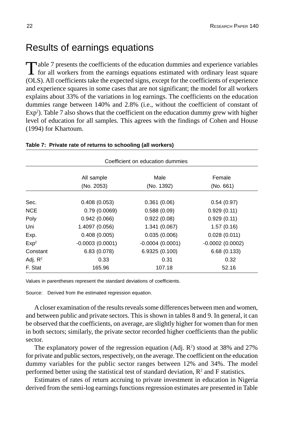### Results of earnings equations

Table 7 presents the coefficients of the education dummies and experience variables<br>for all workers from the earnings equations estimated with ordinary least square (OLS). All coefficients take the expected signs, except for the coefficients of experience and experience squares in some cases that are not significant; the model for all workers explains about 33% of the variations in log earnings. The coefficients on the education dummies range between 140% and 2.8% (i.e., without the coefficient of constant of  $Exp<sup>2</sup>$ ). Table 7 also shows that the coefficient on the education dummy grew with higher level of education for all samples. This agrees with the findings of Cohen and House (1994) for Khartoum.

| Coefficient on education dummies |                   |                   |                   |  |
|----------------------------------|-------------------|-------------------|-------------------|--|
|                                  | All sample        | Male              | Female            |  |
|                                  | (No. 2053)        | (No. 1392)        | (No. 661)         |  |
| Sec.                             | 0.408(0.053)      | 0.361(0.06)       | 0.54(0.97)        |  |
| <b>NCE</b>                       | 0.79(0.0069)      | 0.588(0.09)       | 0.929(0.11)       |  |
| Poly                             | 0.942(0.066)      | 0.922(0.08)       | 0.929(0.11)       |  |
| Uni                              | 1.4097 (0.056)    | 1.341(0.067)      | 1.57(0.16)        |  |
| Exp.                             | 0.408(0.005)      | 0.035(0.006)      | 0.028(0.011)      |  |
| Exp <sup>2</sup>                 | $-0.0003(0.0001)$ | $-0.0004(0.0001)$ | $-0.0002(0.0002)$ |  |
| Constant                         | 6.83(0.078)       | 6.9325 (0.100)    | 6.68(0.133)       |  |
| Adj. $R^2$                       | 0.33              | 0.31              | 0.32              |  |
| F. Stat                          | 165.96            | 107.18            | 52.16             |  |

#### **Table 7: Private rate of returns to schooling (all workers)**

Values in parentheses represent the standard deviations of coefficients.

Source: Derived from the estimated regression equation.

A closer examination of the results reveals some differences between men and women, and between public and private sectors. This is shown in tables 8 and 9. In general, it can be observed that the coefficients, on average, are slightly higher for women than for men in both sectors; similarly, the private sector recorded higher coefficients than the public sector.

The explanatory power of the regression equation  $(Adj. R<sup>2</sup>)$  stood at 38% and 27% for private and public sectors, respectively, on the average. The coefficient on the education dummy variables for the public sector ranges between 12% and 34%. The model performed better using the statistical test of standard deviation,  $R<sup>2</sup>$  and F statistics.

Estimates of rates of return accruing to private investment in education in Nigeria derived from the semi-log earnings functions regression estimates are presented in Table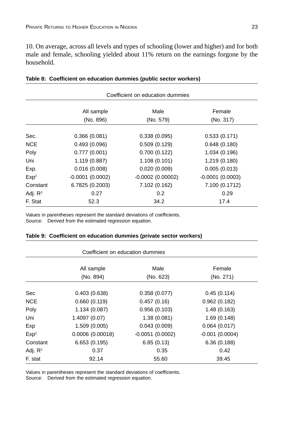10. On average, across all levels and types of schooling (lower and higher) and for both male and female, schooling yielded about 11% return on the earnings forgone by the household.

|                  | Coefficient on education dummies |                    |                   |  |  |
|------------------|----------------------------------|--------------------|-------------------|--|--|
|                  | All sample                       | Male               | Female            |  |  |
|                  | (No. 896)                        | (No. 579)          | (No. 317)         |  |  |
| Sec.             | 0.366(0.081)                     | 0.338(0.095)       | 0.533(0.171)      |  |  |
| <b>NCE</b>       | 0.493(0.096)                     | 0.509(0.129)       | 0.648(0.180)      |  |  |
| Poly             | 0.777(0.001)                     | 0.700(0.122)       | 1.034 (0.196)     |  |  |
| Uni              | 1.119 (0.887)                    | 1.108(0.101)       | 1,219 (0.180)     |  |  |
| Exp.             | 0.016(0.008)                     | 0.020(0.009)       | 0.005(0.013)      |  |  |
| Exp <sup>2</sup> | $-0.0001(0.0002)$                | $-0.0002(0.00002)$ | $-0.0001(0.0003)$ |  |  |
| Constant         | 6.7825 (0.2003)                  | 7.102 (0.162)      | 7.100 (0.1712)    |  |  |
| Adj. $R^2$       | 0.27                             | 0.2                | 0.29              |  |  |
| F. Stat          | 52.3                             | 34.2               | 17.4              |  |  |

|  |  |  |  | Table 8: Coefficient on education dummies (public sector workers) |  |
|--|--|--|--|-------------------------------------------------------------------|--|
|--|--|--|--|-------------------------------------------------------------------|--|

Values in parentheses represent the standard deviations of coefficients. Source: Derived from the estimated regression equation.

| Coefficient on education dummies |                         |                   |                     |  |
|----------------------------------|-------------------------|-------------------|---------------------|--|
|                                  | All sample<br>(No. 894) | Male<br>(No. 623) | Female<br>(No. 271) |  |
|                                  |                         |                   |                     |  |
| Sec                              | 0.403(0.638)            | 0.358(0.077)      | 0.45(0.114)         |  |
| <b>NCE</b>                       | 0.660(0.119)            | 0.457(0.16)       | 0.962(0.182)        |  |
| Poly                             | 1.134(0.087)            | 0.956(0.103)      | 1.48(0.163)         |  |
| Uni                              | 1.4097 (0.07)           | 1.38(0.081)       | 1.69(0.148)         |  |
| Exp                              | 1.509(0.005)            | 0.043(0.009)      | 0.064(0.017)        |  |
| Exp <sup>2</sup>                 | 0.0006(0.00018)         | $-0.0051(0.0002)$ | $-0.001(0.0004)$    |  |
| Constant                         | 6.653(0.195)            | 6.85(0.13)        | 6.36(0.188)         |  |
| Adj. $R^2$                       | 0.37                    | 0.35              | 0.42                |  |
| F. stat                          | 92.14                   | 55.60             | 39.45               |  |

|  |  |  |  | Table 9: Coefficient on education dummies (private sector workers) |  |
|--|--|--|--|--------------------------------------------------------------------|--|
|--|--|--|--|--------------------------------------------------------------------|--|

Values in parentheses represent the standard deviations of coefficients.

Source: Derived from the estimated regression equation.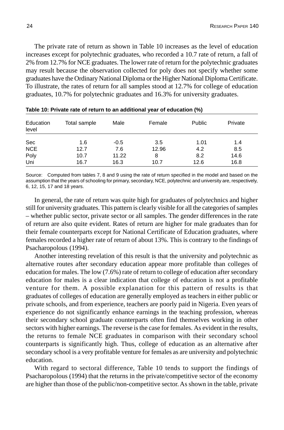The private rate of return as shown in Table 10 increases as the level of education increases except for polytechnic graduates, who recorded a 10.7 rate of return, a fall of 2% from 12.7% for NCE graduates. The lower rate of return for the polytechnic graduates may result because the observation collected for poly does not specify whether some graduates have the Ordinary National Diploma or the Higher National Diploma Certificate. To illustrate, the rates of return for all samples stood at 12.7% for college of education graduates, 10.7% for polytechnic graduates and 16.3% for university graduates.

| Education<br>level | Total sample | Male   | Female | <b>Public</b> | Private |
|--------------------|--------------|--------|--------|---------------|---------|
| Sec                | 1.6          | $-0.5$ | 3.5    | 1.01          | 1.4     |
| <b>NCE</b>         | 12.7         | 7.6    | 12.96  | 4.2           | 8.5     |
| Poly               | 10.7         | 11.22  | 8      | 8.2           | 14.6    |
| Uni                | 16.7         | 16.3   | 10.7   | 12.6          | 16.8    |

| Table 10: Private rate of return to an additional year of education (%) |  |
|-------------------------------------------------------------------------|--|
|-------------------------------------------------------------------------|--|

Source: Computed from tables 7, 8 and 9 using the rate of return specified in the model and based on the assumption that the years of schooling for primary, secondary, NCE, polytechnic and university are, respectively, 6, 12, 15, 17 and 18 years.

In general, the rate of return was quite high for graduates of polytechnics and higher still for university graduates. This pattern is clearly visible for all the categories of samples – whether public sector, private sector or all samples. The gender differences in the rate of return are also quite evident. Rates of return are higher for male graduates than for their female counterparts except for National Certificate of Education graduates, where females recorded a higher rate of return of about 13%. This is contrary to the findings of Psacharopolous (1994).

Another interesting revelation of this result is that the university and polytechnic as alternative routes after secondary education appear more profitable than colleges of education for males. The low (7.6%) rate of return to college of education after secondary education for males is a clear indication that college of education is not a profitable venture for them. A possible explanation for this pattern of results is that graduates of colleges of education are generally employed as teachers in either public or private schools, and from experience, teachers are poorly paid in Nigeria. Even years of experience do not significantly enhance earnings in the teaching profession, whereas their secondary school graduate counterparts often find themselves working in other sectors with higher earnings. The reverse is the case for females. As evident in the results, the returns to female NCE graduates in comparison with their secondary school counterparts is significantly high. Thus, college of education as an alternative after secondary school is a very profitable venture for females as are university and polytechnic education.

With regard to sectoral difference, Table 10 tends to support the findings of Psacharopolous (1994) that the returns in the private/competitive sector of the economy are higher than those of the public/non-competitive sector. As shown in the table, private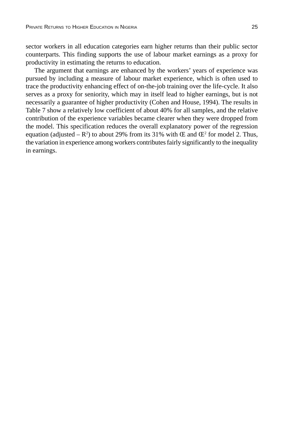sector workers in all education categories earn higher returns than their public sector counterparts. This finding supports the use of labour market earnings as a proxy for productivity in estimating the returns to education.

The argument that earnings are enhanced by the workers' years of experience was pursued by including a measure of labour market experience, which is often used to trace the productivity enhancing effect of on-the-job training over the life-cycle. It also serves as a proxy for seniority, which may in itself lead to higher earnings, but is not necessarily a guarantee of higher productivity (Cohen and House, 1994). The results in Table 7 show a relatively low coefficient of about 40% for all samples, and the relative contribution of the experience variables became clearer when they were dropped from the model. This specification reduces the overall explanatory power of the regression equation (adjusted  $-R^2$ ) to about 29% from its 31% with  $E$  and  $E^2$  for model 2. Thus, the variation in experience among workers contributes fairly significantly to the inequality in earnings.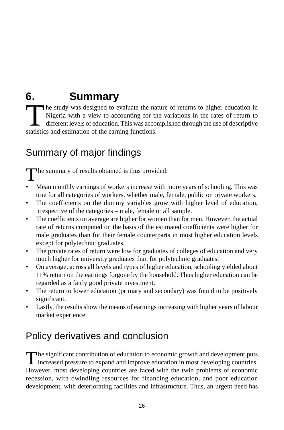# **6. Summary**

The study was designed to evaluate the nature of returns to higher education in Nigeria with a view to accounting for the variations in the rates of return to different levels of education. This was accomplished through th Nigeria with a view to accounting for the variations in the rates of return to different levels of education. This was accomplished through the use of descriptive statistics and estimation of the earning functions.

## Summary of major findings

The summary of results obtained is thus provided:

- Mean monthly earnings of workers increase with more years of schooling. This was true for all categories of workers, whether male, female, public or private workers.
- The coefficients on the dummy variables grow with higher level of education, irrespective of the categories – male, female or all sample.
- The coefficients on average are higher for women than for men. However, the actual rate of returns computed on the basis of the estimated coefficients were higher for male graduates than for their female counterparts in most higher education levels except for polytechnic graduates.
- The private rates of return were low for graduates of colleges of education and very much higher for university graduates than for polytechnic graduates.
- On average, across all levels and types of higher education, schooling yielded about 11% return on the earnings forgone by the household. Thus higher education can be regarded as a fairly good private investment.
- The return to lower education (primary and secondary) was found to be positively significant.
- Lastly, the results show the means of earnings increasing with higher years of labour market experience.

## Policy derivatives and conclusion

The significant contribution of education to economic growth and development puts<br>increased pressure to expand and improve education in most developing countries. However, most developing countries are faced with the twin problems of economic recession, with dwindling resources for financing education, and poor education development, with deteriorating facilities and infrastructure. Thus, an urgent need has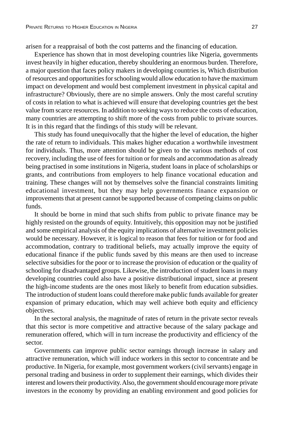arisen for a reappraisal of both the cost patterns and the financing of education.

Experience has shown that in most developing countries like Nigeria, governments invest heavily in higher education, thereby shouldering an enormous burden. Therefore, a major question that faces policy makers in developing countries is, Which distribution of resources and opportunities for schooling would allow education to have the maximum impact on development and would best complement investment in physical capital and infrastructure? Obviously, there are no simple answers. Only the most careful scrutiny of costs in relation to what is achieved will ensure that developing countries get the best value from scarce resources. In addition to seeking ways to reduce the costs of education, many countries are attempting to shift more of the costs from public to private sources. It is in this regard that the findings of this study will be relevant.

This study has found unequivocally that the higher the level of education, the higher the rate of return to individuals. This makes higher education a worthwhile investment for individuals. Thus, more attention should be given to the various methods of cost recovery, including the use of fees for tuition or for meals and accommodation as already being practised in some institutions in Nigeria, student loans in place of scholarships or grants, and contributions from employers to help finance vocational education and training. These changes will not by themselves solve the financial constraints limiting educational investment, but they may help governments finance expansion or improvements that at present cannot be supported because of competing claims on public funds.

It should be borne in mind that such shifts from public to private finance may be highly resisted on the grounds of equity. Intuitively, this opposition may not be justified and some empirical analysis of the equity implications of alternative investment policies would be necessary. However, it is logical to reason that fees for tuition or for food and accommodation, contrary to traditional beliefs, may actually improve the equity of educational finance if the public funds saved by this means are then used to increase selective subsidies for the poor or to increase the provision of education or the quality of schooling for disadvantaged groups. Likewise, the introduction of student loans in many developing countries could also have a positive distributional impact, since at present the high-income students are the ones most likely to benefit from education subsidies. The introduction of student loans could therefore make public funds available for greater expansion of primary education, which may well achieve both equity and efficiency objectives.

In the sectoral analysis, the magnitude of rates of return in the private sector reveals that this sector is more competitive and attractive because of the salary package and remuneration offered, which will in turn increase the productivity and efficiency of the sector.

Governments can improve public sector earnings through increase in salary and attractive remuneration, which will induce workers in this sector to concentrate and be productive. In Nigeria, for example, most government workers (civil servants) engage in personal trading and business in order to supplement their earnings, which divides their interest and lowers their productivity. Also, the government should encourage more private investors in the economy by providing an enabling environment and good policies for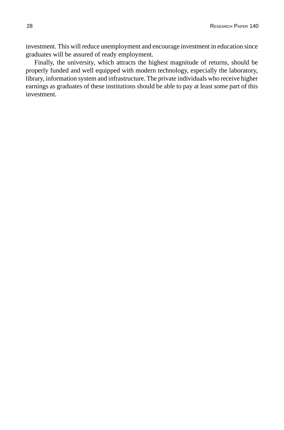investment. This will reduce unemployment and encourage investment in education since graduates will be assured of ready employment.

Finally, the university, which attracts the highest magnitude of returns, should be properly funded and well equipped with modern technology, especially the laboratory, library, information system and infrastructure. The private individuals who receive higher earnings as graduates of these institutions should be able to pay at least some part of this investment.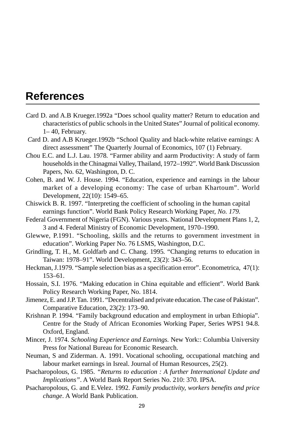## **References**

- *C*ard D. and A.B Krueger.1992a "Does school quality matter? Return to education and characteristics of public schools in the United States" Journal of political economy. 1– 40, February.
- *C*ard D. and A.B Krueger.1992b "School Quality and black-white relative earnings: A direct assessment" The Quarterly Journal of Economics, 107 (1) February.
- *C*hou E.C. and L.J. Lau. 1978*.* "Farmer ability and aarm Productivity: A study of farm households in the Chinagmai Valley, Thailand, 1972–1992". World Bank Discussion Papers, No. 62, Washington, D. C.
- Cohen, B. and W. J. House. 1994. "Education, experience and earnings in the labour market of a developing economy: The case of urban Khartoum". World Development, 22(10): 1549–65.
- Chiswick B. R. 1997. "Interpreting the coefficient of schooling in the human capital earnings function". World Bank Policy Research Working Paper, *No. 179.*
- Federal Government of Nigeria (FGN). Various years. National Development Plans 1, 2, 3 and 4. Federal Ministry of Economic Development, 1970–1990.
- Glewwe, P.1991. "Schooling, skills and the returns to government investment in education". Working Paper No. 76 LSMS, Washington, D.C.
- Grindling, T. H., M. Goldfarb and C. Chang. 1995*.* "Changing returns to education in Taiwan: 1978–91". World Development, 23(2): 343–56.
- Heckman, J.1979. "Sample selection bias as a specification error". Econometrica, 47(1): 153–61.
- Hossain, S.I. 1976. "Making education in China equitable and efficient". World Bank Policy Research Working Paper, No. 1814.
- Jimenez, E. and J.P. Tan. 1991. "Decentralised and private education. The case of Pakistan"*.* Comparative Education*,* 23(2): 173–90.
- Krishnan P. 1994. "Family background education and employment in urban Ethiopia"*.* Centre for the Study of African Economies Working Paper*,* Series WPS1 94.8. Oxford, England.
- Mincer, J. 1974. *Schooling Experience and Earnings.* New York:: Columbia University Press for National Bureau for Economic Research.
- Neuman, S and Ziderman. A. 1991. Vocational schooling, occupational matching and labour market earnings in Isreal. Journal of Human Resources, 25(2).
- Psacharopolous, G. 1985. *"Returns to education : A further International Update and Implications"*. A World Bank Report Series No. 210: 370. IPSA.
- Psacharopolous, G. and E.Velez. 1992. *Family productivity, workers benefits and price change*. A World Bank Publication.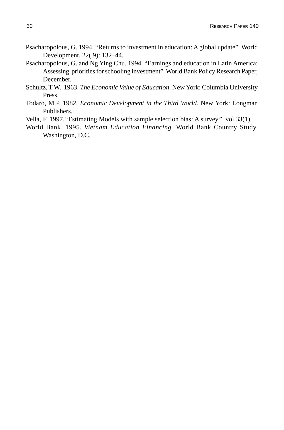- Psacharopolous, G. 1994. "Returns to investment in education: A global update". World Development, 22( 9): 132–44.
- Psacharopolous, G. and Ng Ying Chu. 1994. "Earnings and education in Latin America: Assessing priorities for schooling investment". World Bank Policy Research Paper, December.
- Schultz, T.W. 1963. *The Economic Value of Education*. New York: Columbia University Press.
- Todaro, M.P. 1982*. Economic Development in the Third World.* New York: Longman Publishers.
- Vella, F. 1997.*"*Estimating Models with sample selection bias: A survey*"*. vol.33(1).
- World Bank. 1995. *Vietnam Education Financing.* World Bank Country Study. Washington, D.C.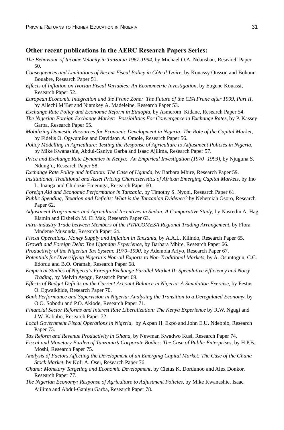#### **Other recent publications in the AERC Research Papers Series:**

- *The Behaviour of Income Velocity in Tanzania 1967-1994,* by Michael O.A. Ndanshau, Research Paper 50.
- *Consequences and Limitations of Recent Fiscal Policy in Côte d'Ivoire*, by Kouassy Oussou and Bohoun Bouabre, Research Paper 51.
- *Effects of Inflation on Ivorian Fiscal Variables: An Econometric Investigation*, by Eugene Kouassi, Research Paper 52.
- *European Economic Integration and the Franc Zone: The Future of the CFA Franc after 1999, Part II*, by Allechi M'Bet and Niamkey A. Madeleine, Research Paper 53.
- *Exchange Rate Policy and Economic Reform in Ethiopia*, by Asmerom Kidane, Research Paper 54.
- *The Nigerian Foreign Exchange Market: Possibilities For Convergence in Exchange Rates*, by P. Kassey Garba, Research Paper 55.
- *Mobilizing Domestic Resources for Economic Development in Nigeria: The Role of the Capital Market*, by Fidelis O. Ogwumike and Davidson A. Omole, Research Paper 56.
- *Policy Modelling in Agriculture: Testing the Response of Agriculture to Adjustment Policies in Nigeria*, by Mike Kwanashie, Abdul-Ganiyu Garba and Isaac Ajilima, Research Paper 57.
- *Price and Exchange Rate Dynamics in Kenya: An Empirical Investigation (1970–1993)*, by Njuguna S. Ndung'u, Research Paper 58.
- *Exchange Rate Policy and Inflation: The Case of Uganda,* by Barbara Mbire, Research Paper 59.
- *Institutional, Traditional and Asset Pricing Characteristics of African Emerging Capital Markets*, by Ino L. Inanga and Chidozie Emenuga, Research Paper 60.
- *Foreign Aid and Economic Performance in Tanzania*, by Timothy S. Nyoni, Research Paper 61.
- *Public Spending, Taxation and Deficits: What is the Tanzanian Evidence?* by Nehemiah Osoro, Research Paper 62.
- *Adjustment Programmes and Agricultural Incentives in Sudan: A Comparative Study*, by Nasredin A. Hag Elamin and Elsheikh M. El Mak, Research Paper 63.
- *Intra-industry Trade between Members of the PTA/COMESA Regional Trading Arrangement*, by Flora Mndeme Musonda, Research Paper 64.
- *Fiscal Operations, Money Supply and Inflation in Tanzania*, by A.A.L. Kilindo, Research Paper 65.
- *Growth and Foreign Debt: The Ugandan Experience*, by Barbara Mbire, Research Paper 66.
- *Productivity of the Nigerian Tax System: 1970–1990*, by Ademola Ariyo, Research Paper 67.
- *Potentials for Diversifying Nigeria*'*s Non-oil Exports to Non-Traditional Markets*, by A. Osuntogun, C.C. Edordu and B.O. Oramah, Research Paper 68.
- *Empirical Studies of Nigeria*'*s Foreign Exchange Parallel Market II: Speculative Efficiency and Noisy Trading*, by Melvin Ayogu, Research Paper 69.
- *Effects of Budget Deficits on the Current Account Balance in Nigeria: A Simulation Exercise*, by Festus O. Egwaikhide, Research Paper 70.
- *Bank Performance and Supervision in Nigeria: Analysing the Transition to a Deregulated Economy*, by O.O. Sobodu and P.O. Akiode, Research Paper 71.
- *Financial Sector Reforms and Interest Rate Liberalization: The Kenya Experience* by R.W. Ngugi and J.W. Kabubo, Research Paper 72.
- *Local Government Fiscal Operations in Nigeria*, by Akpan H. Ekpo and John E.U. Ndebbio, Research Paper 73.
- *Tax Reform and Revenue Productivity in Ghana*, by Newman Kwadwo Kusi, Research Paper 74.
- *Fiscal and Monetary Burden of Tanzania's Corporate Bodies: The Case of Public Enterprises*, by H.P.B. Moshi, Research Paper 75.
- *Analysis of Factors Affecting the Development of an Emerging Capital Market: The Case of the Ghana Stock Market*, by Kofi A. Osei, Research Paper 76.
- *Ghana: Monetary Targeting and Economic Development*, by Cletus K. Dordunoo and Alex Donkor, Research Paper 77.
- *The Nigerian Economy: Response of Agriculture to Adjustment Policies*, by Mike Kwanashie, Isaac Ajilima and Abdul-Ganiyu Garba, Research Paper 78.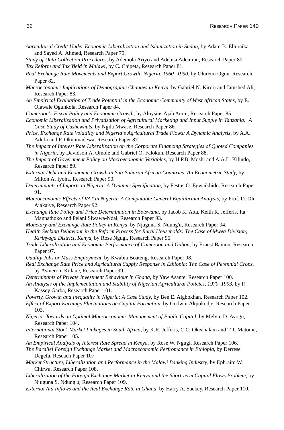- *Agricultural Credit Under Economic Liberalization and Islamization in Sudan*, by Adam B. Elhiraika and Sayed A. Ahmed, Research Paper 79.
- *Study of Data Collection Procedures*, by Ademola Ariyo and Adebisi Adeniran, Research Paper 80. *Tax Reform and Tax Yield in Malawi*, by C. Chipeta, Research Paper 81.
- *Real Exchange Rate Movements and Export Growth: Nigeria, 1960*–*1990*, by Oluremi Ogun, Research Paper 82.
- *Macroeconomic Implications of Demographic Changes in Kenya*, by Gabriel N. Kirori and Jamshed Ali, Research Paper 83.
- *An Empirical Evaluation of Trade Potential in the Economic Community of West African States*, by E. Olawale Ogunkola, Research Paper 84.
- *Cameroon*'*s Fiscal Policy and Economic Growth,* by Aloysius Ajab Amin, Research Paper 85.
- *Economic Liberalization and Privatization of Agricultural Marketing and Input Supply in Tanzania: A Case Study of Cashewnuts*, by Ngila Mwase, Research Paper 86.
- *Price, Exchange Rate Volatility and Nigeria*'*s Agricultural Trade Flows: A Dynamic Analysis*, by A.A. Adubi and F. Okunmadewa, Research Paper 87.
- *The Impact of Interest Rate Liberalization on the Corporate Financing Strategies of Quoted Companies in Nigeria*, by Davidson A. Omole and Gabriel O. Falokun, Research Paper 88.
- *The Impact of Government Policy on Macroeconomic Variables*, by H.P.B. Moshi and A.A.L. Kilindo, Research Paper 89.
- *External Debt and Economic Growth in Sub-Saharan African Countries: An Econometric Study,* by Milton A. Iyoha, Research Paper 90.
- *Determinants of Imports in Nigeria: A Dynamic Specification,* by Festus O. Egwaikhide, Research Paper 91.
- *Macroeconomic Effects of VAT in Nigeria: A Computable General Equilibrium Analysis*, by Prof. D. Olu Ajakaiye, Research Paper 92.
- *Exchange Rate Policy and Price Determination in Botswana*, by Jacob K. Atta, Keith R. Jefferis, Ita Mannathoko and Pelani Siwawa-Ndai, Research Paper 93.
- *Monetary and Exchange Rate Policy in Kenya,* by Njuguna S. Ndung'u, Research Paper 94.
- *Health Seeking Behaviour in the Reform Process for Rural Households: The Case of Mwea Division, Kirinyaga District, Kenya,* by Rose Ngugi, Research Paper 95.
- *Trade Liberalization and Economic Performance of Cameroon and Gabon*, by Ernest Bamou, Research Paper 97.
- *Quality Jobs or Mass Employment,* by Kwabia Boateng, Research Paper 98.
- *Real Exchange Rate Price and Agricultural Supply Response in Ethiopia: The Case of Perennial Crops*, by Asmerom Kidane, Research Paper 99.
- *Determinants of Private Investment Behaviour in Ghana*, by Yaw Asante, Research Paper 100.
- *An Analysis of the Implementation and Stability of Nigerian Agricultural Policies, 1970–1993*, by P. Kassey Garba, Research Paper 101.
- *Poverty, Growth and Inequality in Nigeria: A Case Study*, by Ben E. Aigbokhan, Research Paper 102.
- *Effect of Export Earnings Fluctuations on Capital Formation*, by Godwin Akpokodje, Research Paper 103.
- *Nigeria: Towards an Optimal Macroeconomic Management of Public Capital*, by Melvin D. Ayogu, Research Paper 104.
- *International Stock Market Linkages in South Africa*, by K.R. Jefferis, C.C. Okeahalam and T.T. Matome, Research Paper 105.
- *An Empirical Analysis of Interest Rate Spread in Kenya*, by Rose W. Ngugi, Research Paper 106.
- *The Parallel Foreign Exchange Market and Macroeconomic Perfromance in Ethiopia*, by Derrese Degefa, Reseach Paper 107.
- *Market Structure, Liberalization and Performance in the Malawi Banking Industry*, by Ephraim W. Chirwa, Research Paper 108.
- *Liberalization of the Foreign Exchange Market in Kenya and the Short-term Capital Flows Problem*, by Njuguna S. Ndung'u, Research Paper 109.
- *External Aid Inflows and the Real Exchange Rate in Ghana*, by Harry A. Sackey, Research Paper 110.